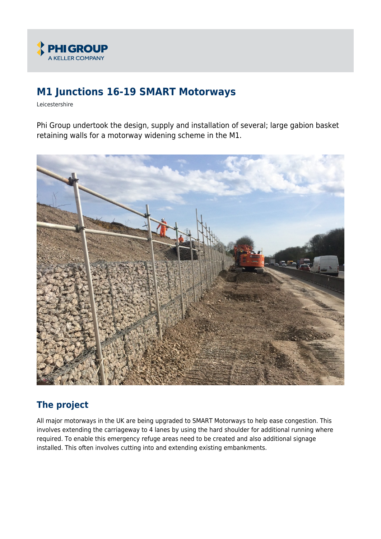

# **M1 Junctions 16-19 SMART Motorways**

Leicestershire

Phi Group undertook the design, supply and installation of several; large gabion basket retaining walls for a motorway widening scheme in the M1.



## **The project**

All major motorways in the UK are being upgraded to SMART Motorways to help ease congestion. This involves extending the carriageway to 4 lanes by using the hard shoulder for additional running where required. To enable this emergency refuge areas need to be created and also additional signage installed. This often involves cutting into and extending existing embankments.